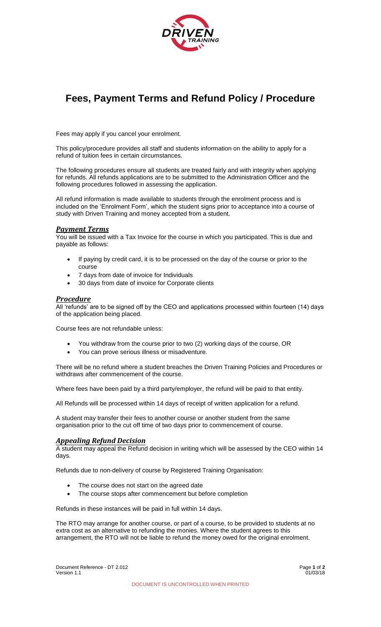

# **Fees, Payment Terms and Refund Policy / Procedure**

Fees may apply if you cancel your enrolment.

This policy/procedure provides all staff and students information on the ability to apply for a refund of tuition fees in certain circumstances.

The following procedures ensure all students are treated fairly and with integrity when applying for refunds. All refunds applications are to be submitted to the Administration Officer and the following procedures followed in assessing the application.

All refund information is made available to students through the enrolment process and is included on the 'Enrolment Form', which the student signs prior to acceptance into a course of study with Driven Training and money accepted from a student.

### *Payment Terms*

You will be issued with a Tax Invoice for the course in which you participated. This is due and payable as follows:

- If paying by credit card, it is to be processed on the day of the course or prior to the course
- 7 days from date of invoice for Individuals
- 30 days from date of invoice for Corporate clients

### *Procedure*

All 'refunds' are to be signed off by the CEO and applications processed within fourteen (14) days of the application being placed.

Course fees are not refundable unless:

- You withdraw from the course prior to two (2) working days of the course, OR
- You can prove serious illness or misadventure.

There will be no refund where a student breaches the Driven Training Policies and Procedures or withdraws after commencement of the course.

Where fees have been paid by a third party/employer, the refund will be paid to that entity.

All Refunds will be processed within 14 days of receipt of written application for a refund.

A student may transfer their fees to another course or another student from the same organisation prior to the cut off time of two days prior to commencement of course.

# *Appealing Refund Decision*

A student may appeal the Refund decision in writing which will be assessed by the CEO within 14 days.

Refunds due to non-delivery of course by Registered Training Organisation:

- The course does not start on the agreed date
- The course stops after commencement but before completion

Refunds in these instances will be paid in full within 14 days.

The RTO may arrange for another course, or part of a course, to be provided to students at no extra cost as an alternative to refunding the monies. Where the student agrees to this arrangement, the RTO will not be liable to refund the money owed for the original enrolment.